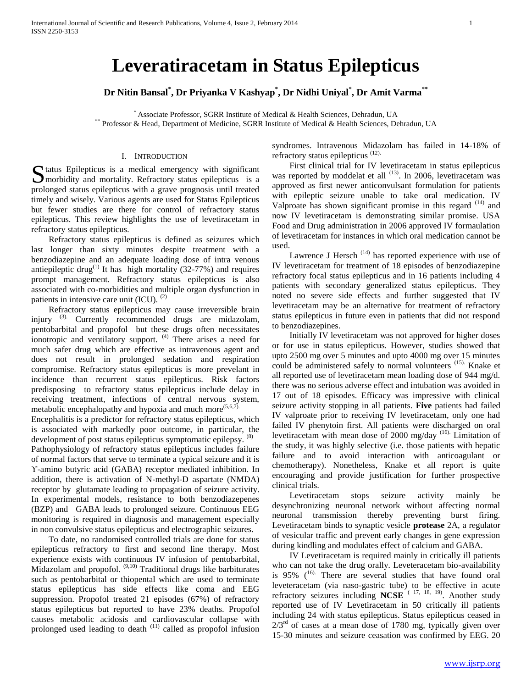# **Leveratiracetam in Status Epilepticus**

**Dr Nitin Bansal\* , Dr Priyanka V Kashyap\* , Dr Nidhi Uniyal\* , Dr Amit Varma\*\***

\* Associate Professor, SGRR Institute of Medical & Health Sciences, Dehradun, UA \*\* Professor & Head, Department of Medicine, SGRR Institute of Medical & Health Sciences, Dehradun, UA

## I. INTRODUCTION

Status Epilepticus is a medical emergency with significant morbidity and mortality. Refractory status epilepticus is a **M** morbidity and mortality. Refractory status epilepticus is a prolonged status epilepticus with a grave prognosis until treated timely and wisely. Various agents are used for Status Epilepticus but fewer studies are there for control of refractory status epilepticus. This review highlights the use of levetiracetam in refractory status epilepticus.

 Refractory status epilepticus is defined as seizures which last longer than sixty minutes despite treatment with a benzodiazepine and an adequate loading dose of intra venous antiepileptic drug<sup>(1)</sup> It has high mortality (32-77%) and requires prompt management. Refractory status epilepticus is also associated with co-morbidities and multiple organ dysfunction in patients in intensive care unit  $(ICU)$ .  $(2)$ 

 Refractory status epilepticus may cause irreversible brain injury <sup>(3)</sup>. Currently recommended drugs are midazolam, pentobarbital and propofol but these drugs often necessitates ionotropic and ventilatory support. <sup>(4)</sup> There arises a need for much safer drug which are effective as intravenous agent and does not result in prolonged sedation and respiration compromise. Refractory status epilepticus is more prevelant in incidence than recurrent status epilepticus. Risk factors predisposing to refractory status epilepticus include delay in receiving treatment, infections of central nervous system, metabolic encephalopathy and hypoxia and much more  $(5,6,7)$ .

Encephalitis is a predictor for refractory status epilepticus, which is associated with markedly poor outcome, in particular, the development of post status epilepticus symptomatic epilepsy. <sup>(8)</sup>

Pathophysiology of refractory status epilepticus includes failure of normal factors that serve to terminate a typical seizure and it is ϒ-amino butyric acid (GABA) receptor mediated inhibition. In addition, there is activation of N-methyl-D aspartate (NMDA) receptor by glutamate leading to propagation of seizure activity. In experimental models, resistance to both benzodiazepenes (BZP) and GABA leads to prolonged seizure. Continuous EEG monitoring is required in diagnosis and management especially in non convulsive status epilepticus and electrographic seizures.

 To date, no randomised controlled trials are done for status epilepticus refractory to first and second line therapy. Most experience exists with continuous IV infusion of pentobarbital, Midazolam and propofol. (9,10) Traditional drugs like barbiturates such as pentobarbital or thiopental which are used to terminate status epilepticus has side effects like coma and EEG suppression. Propofol treated 21 episodes (67%) of refractory status epilepticus but reported to have 23% deaths. Propofol causes metabolic acidosis and cardiovascular collapse with prolonged used leading to death <sup>(11)</sup> called as propofol infusion syndromes. Intravenous Midazolam has failed in 14-18% of refractory status epilepticus (12).

 First clinical trial for IV levetiracetam in status epilepticus was reported by moddelat et all <sup>(13)</sup>. In 2006, levetiracetam was approved as first newer anticonvulsant formulation for patients with epileptic seizure unable to take oral medication. IV Valproate has shown significant promise in this regard  $(14)$  and now IV levetiracetam is demonstrating similar promise. USA Food and Drug administration in 2006 approved IV formaulation of levetiracetam for instances in which oral medication cannot be used.

Lawrence J Hersch<sup> $(14)$ </sup> has reported experience with use of IV levetiracetam for treatment of 18 episodes of benzodiazepine refractory focal status epilepticus and in 16 patients including 4 patients with secondary generalized status epilepticus. They noted no severe side effects and further suggested that IV levetiracetam may be an alternative for treatment of refractory status epilepticus in future even in patients that did not respond to benzodiazepines.

 Initially IV levetiracetam was not approved for higher doses or for use in status epilepticus. However, studies showed that upto 2500 mg over 5 minutes and upto 4000 mg over 15 minutes could be administered safely to normal volunteers (15). Knake et all reported use of levetiracetam mean loading dose of 944 mg/d. there was no serious adverse effect and intubation was avoided in 17 out of 18 episodes. Efficacy was impressive with clinical seizure activity stopping in all patients. **Five** patients had failed IV valproate prior to receiving IV levetiracetam, only one had failed IV phenytoin first. All patients were discharged on oral levetiracetam with mean dose of 2000 mg/day (16). Limitation of the study, it was highly selective (i.e. those patients with hepatic failure and to avoid interaction with anticoagulant or chemotherapy). Nonetheless, Knake et all report is quite encouraging and provide justification for further prospective clinical trials.

 Levetiracetam stops seizure activity mainly be desynchronizing neuronal network without affecting normal neuronal transmission thereby preventing burst firing. Levetiracetam binds to synaptic vesicle **protease** 2A, a regulator of vesicular traffic and prevent early changes in gene expression during kindling and modulates effect of calcium and GABA.

 IV Levetiracetam is required mainly in critically ill patients who can not take the drug orally. Leveteracetam bio-availability is 95%  $(16)$ . There are several studies that have found oral leveteracetam (via naso-gastric tube) to be effective in acute refractory seizures including **NCSE** ( 17, 18, 19). Another study reported use of IV Levetiracetam in 50 critically ill patients including 24 with status epilepticus. Status epilepticus ceased in  $2/3<sup>rd</sup>$  of cases at a mean dose of 1780 mg, typically given over 15-30 minutes and seizure ceasation was confirmed by EEG. 20